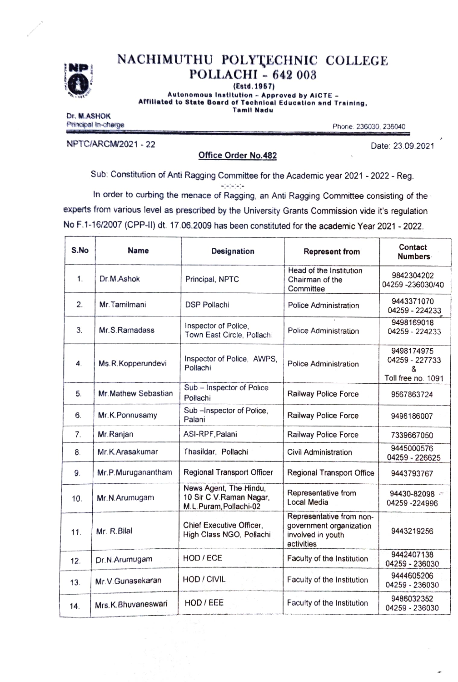

# NACHIMUTHU POLYTECHNIC COLLEGE<br>POLLACHI - 642 003

(Estd.1957)

Autonomous Institution - Approved by AICTE - Afrliatod to State Board of Technical Educatlon and Training. Tamil Nadu

Dr. M.ASHOK Principal In-charge Principal In-charge Phone. 236030, 236040

NPTCIARCM/2021-22 Date: 23.09.2021

## Office Order No.482

Sub: Constitution of Anti Ragging Committee for the Academic year 2021-2022-Reg. --- In order to curbing the menace of Ragging, an Anti Ragging Committee consisting of the

experts from various level as prescribed by the University Grants Commission vide it's regulation No F.1-16/2007 (CPP-1) dt. 17.06.2009 has been constituted for the academic Year 2021-2022.

| S.No           | <b>Name</b>          | Designation                                                                 | <b>Represent from</b>                                                                  | Contact<br><b>Numbers</b>                               |
|----------------|----------------------|-----------------------------------------------------------------------------|----------------------------------------------------------------------------------------|---------------------------------------------------------|
| 1.             | Dr.M.Ashok           | Principal, NPTC                                                             | Head of the Institution<br>Chairman of the<br>Committee                                | 9842304202<br>04259-236030/40                           |
| 2.             | Mr. Tamilmani        | <b>DSP Pollachi</b>                                                         | Police Administration                                                                  | 9443371070<br>04259 - 224233                            |
| 3.             | Mr.S.Ramadass        | Inspector of Police,<br>Town East Circle, Pollachi                          | Police Administration                                                                  | 9498169018<br>04259 - 224233                            |
| 4.             | Ms.R.Kopperundevi    | Inspector of Police, AWPS,<br>Pollachi                                      | <b>Police Administration</b>                                                           | 9498174975<br>04259 - 227733<br>8<br>Toll free no. 1091 |
| 5.             | Mr. Mathew Sebastian | Sub - Inspector of Police<br>Pollachi                                       | Railway Police Force                                                                   | 9567863724                                              |
| 6.             | Mr.K.Ponnusamy       | Sub-Inspector of Police,<br>Palani                                          | Railway Police Force                                                                   | 9498186007                                              |
| 7 <sub>1</sub> | Mr. Ranjan           | ASI-RPF, Palani                                                             | Railway Police Force                                                                   | 7339667050                                              |
| 8.             | Mr.K.Arasakumar      | Thasildar, Pollachi                                                         | <b>Civil Administration</b>                                                            | 9445000576<br>04259 - 226625                            |
| 9.             | Mr.P.Muruganantham   | Regional Transport Officer                                                  | Regional Transport Office                                                              | 9443793767                                              |
| 10.            | Mr.N.Arumugam        | News Agent, The Hindu,<br>10 Sir C.V.Raman Nagar,<br>M.L.Puram, Pollachi-02 | Representative from<br>Local Media                                                     | 94430-82098 -<br>04259 - 224996                         |
| 11.            | Mr. R. Bilal         | Chief Executive Officer.<br>High Class NGO, Pollachi                        | Representative from non-<br>government organization<br>involved in youth<br>activities | 9443219256                                              |
| 12.            | Dr.N.Arumugam        | HOD / ECE                                                                   | Faculty of the Institution                                                             | 9442407138<br>04259 - 236030                            |
| 13.            | Mr.V.Gunasekaran     | HOD / CIVIL                                                                 | Faculty of the Institution                                                             | 9444605206<br>04259 - 236030                            |
| 14.            | Mrs.K.Bhuvaneswari   | HOD / EEE                                                                   | Faculty of the Institution                                                             | 9486032352<br>04259 - 236030                            |